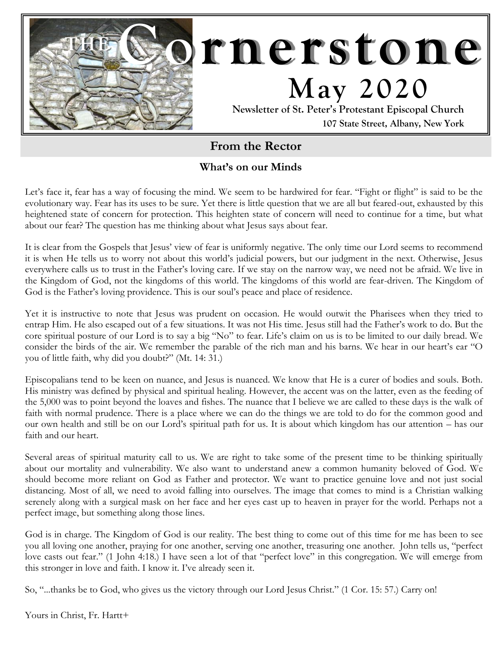

# **From the Rector**

### **What's on our Minds**

Let's face it, fear has a way of focusing the mind. We seem to be hardwired for fear. "Fight or flight" is said to be the evolutionary way. Fear has its uses to be sure. Yet there is little question that we are all but feared-out, exhausted by this heightened state of concern for protection. This heighten state of concern will need to continue for a time, but what about our fear? The question has me thinking about what Jesus says about fear.

It is clear from the Gospels that Jesus' view of fear is uniformly negative. The only time our Lord seems to recommend it is when He tells us to worry not about this world's judicial powers, but our judgment in the next. Otherwise, Jesus everywhere calls us to trust in the Father's loving care. If we stay on the narrow way, we need not be afraid. We live in the Kingdom of God, not the kingdoms of this world. The kingdoms of this world are fear-driven. The Kingdom of God is the Father's loving providence. This is our soul's peace and place of residence.

Yet it is instructive to note that Jesus was prudent on occasion. He would outwit the Pharisees when they tried to entrap Him. He also escaped out of a few situations. It was not His time. Jesus still had the Father's work to do. But the core spiritual posture of our Lord is to say a big "No" to fear. Life's claim on us is to be limited to our daily bread. We consider the birds of the air. We remember the parable of the rich man and his barns. We hear in our heart's ear "O you of little faith, why did you doubt?" (Mt. 14: 31.)

Episcopalians tend to be keen on nuance, and Jesus is nuanced. We know that He is a curer of bodies and souls. Both. His ministry was defined by physical and spiritual healing. However, the accent was on the latter, even as the feeding of the 5,000 was to point beyond the loaves and fishes. The nuance that I believe we are called to these days is the walk of faith with normal prudence. There is a place where we can do the things we are told to do for the common good and our own health and still be on our Lord's spiritual path for us. It is about which kingdom has our attention – has our faith and our heart.

Several areas of spiritual maturity call to us. We are right to take some of the present time to be thinking spiritually about our mortality and vulnerability. We also want to understand anew a common humanity beloved of God. We should become more reliant on God as Father and protector. We want to practice genuine love and not just social distancing. Most of all, we need to avoid falling into ourselves. The image that comes to mind is a Christian walking serenely along with a surgical mask on her face and her eyes cast up to heaven in prayer for the world. Perhaps not a perfect image, but something along those lines.

God is in charge. The Kingdom of God is our reality. The best thing to come out of this time for me has been to see you all loving one another, praying for one another, serving one another, treasuring one another. John tells us, "perfect love casts out fear." (1 John 4:18.) I have seen a lot of that "perfect love" in this congregation. We will emerge from this stronger in love and faith. I know it. I've already seen it.

So, "...thanks be to God, who gives us the victory through our Lord Jesus Christ." (1 Cor. 15: 57.) Carry on!

Yours in Christ, Fr. Hartt+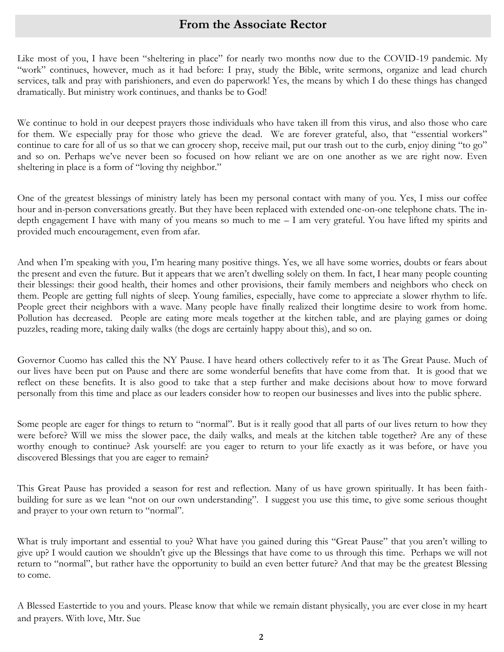## **From the Associate Rector**

Like most of you, I have been "sheltering in place" for nearly two months now due to the COVID-19 pandemic. My "work" continues, however, much as it had before: I pray, study the Bible, write sermons, organize and lead church services, talk and pray with parishioners, and even do paperwork! Yes, the means by which I do these things has changed dramatically. But ministry work continues, and thanks be to God!

We continue to hold in our deepest prayers those individuals who have taken ill from this virus, and also those who care for them. We especially pray for those who grieve the dead. We are forever grateful, also, that "essential workers" continue to care for all of us so that we can grocery shop, receive mail, put our trash out to the curb, enjoy dining "to go" and so on. Perhaps we've never been so focused on how reliant we are on one another as we are right now. Even sheltering in place is a form of "loving thy neighbor."

One of the greatest blessings of ministry lately has been my personal contact with many of you. Yes, I miss our coffee hour and in-person conversations greatly. But they have been replaced with extended one-on-one telephone chats. The indepth engagement I have with many of you means so much to me – I am very grateful. You have lifted my spirits and provided much encouragement, even from afar.

And when I'm speaking with you, I'm hearing many positive things. Yes, we all have some worries, doubts or fears about the present and even the future. But it appears that we aren't dwelling solely on them. In fact, I hear many people counting their blessings: their good health, their homes and other provisions, their family members and neighbors who check on them. People are getting full nights of sleep. Young families, especially, have come to appreciate a slower rhythm to life. People greet their neighbors with a wave. Many people have finally realized their longtime desire to work from home. Pollution has decreased. People are eating more meals together at the kitchen table, and are playing games or doing puzzles, reading more, taking daily walks (the dogs are certainly happy about this), and so on.

Governor Cuomo has called this the NY Pause. I have heard others collectively refer to it as The Great Pause. Much of our lives have been put on Pause and there are some wonderful benefits that have come from that. It is good that we reflect on these benefits. It is also good to take that a step further and make decisions about how to move forward personally from this time and place as our leaders consider how to reopen our businesses and lives into the public sphere.

Some people are eager for things to return to "normal". But is it really good that all parts of our lives return to how they were before? Will we miss the slower pace, the daily walks, and meals at the kitchen table together? Are any of these worthy enough to continue? Ask yourself: are you eager to return to your life exactly as it was before, or have you discovered Blessings that you are eager to remain?

This Great Pause has provided a season for rest and reflection. Many of us have grown spiritually. It has been faithbuilding for sure as we lean "not on our own understanding". I suggest you use this time, to give some serious thought and prayer to your own return to "normal".

What is truly important and essential to you? What have you gained during this "Great Pause" that you aren't willing to give up? I would caution we shouldn't give up the Blessings that have come to us through this time. Perhaps we will not return to "normal", but rather have the opportunity to build an even better future? And that may be the greatest Blessing to come.

A Blessed Eastertide to you and yours. Please know that while we remain distant physically, you are ever close in my heart and prayers. With love, Mtr. Sue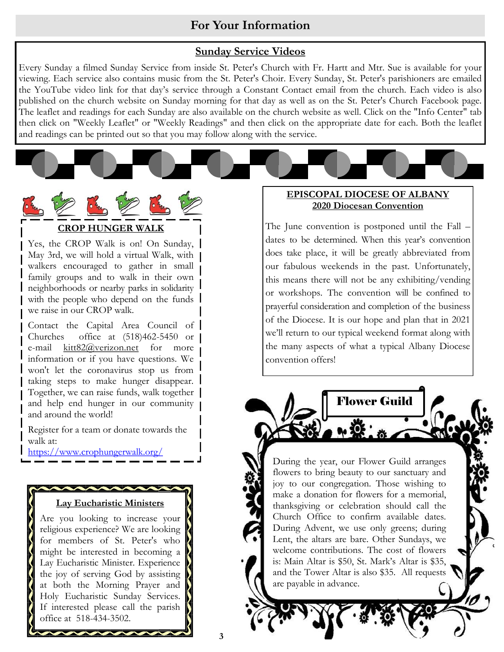## **For Your Information**

#### **Sunday Service Videos**

Every Sunday a filmed Sunday Service from inside St. Peter's Church with Fr. Hartt and Mtr. Sue is available for your viewing. Each service also contains music from the St. Peter's Choir. Every Sunday, St. Peter's parishioners are emailed the YouTube video link for that day's service through a Constant Contact email from the church. Each video is also published on the church website on Sunday morning for that day as well as on the St. Peter's Church Facebook page. The leaflet and readings for each Sunday are also available on the church website as well. Click on the "Info Center" tab then click on "Weekly Leaflet" or "Weekly Readings" and then click on the appropriate date for each. Both the leaflet and readings can be printed out so that you may follow along with the service.



Yes, the CROP Walk is on! On Sunday, May 3rd, we will hold a virtual Walk, with walkers encouraged to gather in small family groups and to walk in their own neighborhoods or nearby parks in solidarity with the people who depend on the funds we raise in our CROP walk.

Contact the Capital Area Council of Churches office at (518)462-5450 or e-mail [kitt82@verizon.net](mailto:kitt82@verizon.net) for more information or if you have questions. We won't let the coronavirus stop us from taking steps to make hunger disappear. Together, we can raise funds, walk together and help end hunger in our community and around the world!

Register for a team or donate towards the walk at:

[https://www.crophungerwalk.org/](https://www.crophungerwalk.org/albanyny/)

#### **Lay Eucharistic Ministers**

Are you looking to increase your religious experience? We are looking for members of St. Peter's who might be interested in becoming a Lay Eucharistic Minister. Experience the joy of serving God by assisting at both the Morning Prayer and Holy Eucharistic Sunday Services. If interested please call the parish office at 518-434-3502.

#### **EPISCOPAL DIOCESE OF ALBANY 2020 Diocesan Convention**

The June convention is postponed until the Fall – dates to be determined. When this year's convention does take place, it will be greatly abbreviated from our fabulous weekends in the past. Unfortunately, this means there will not be any exhibiting/vending or workshops. The convention will be confined to prayerful consideration and completion of the business of the Diocese. It is our hope and plan that in 2021 we'll return to our typical weekend format along with the many aspects of what a typical Albany Diocese convention offers!

Flower Guild

During the year, our Flower Guild arranges flowers to bring beauty to our sanctuary and [joy to our congregation. Those wishing to](https://www.google.com/url?sa=i&rct=j&q=&esrc=s&source=images&cd=&cad=rja&uact=8&ved=2ahUKEwii9Yjuq5HgAhVr44MKHS6DCigQjRx6BAgBEAU&url=https%3A%2F%2Fwww.pinterest.com%2Fpin%2F326088829254516535%2F&psig=AOvVaw0QVohcjT6KV7VI5RBqDCeX&ust=1548794634316659)  make a donation for flowers for a memorial, thanksgiving or celebration should call the Church Office to confirm available dates. During Advent, we use only greens; during Lent, the altars are bare. Other Sundays, we welcome contributions. The cost of flowers is: Main Altar is \$50, St. Mark's Altar is \$35, and the Tower Altar is also \$35. All requests are payable in advance.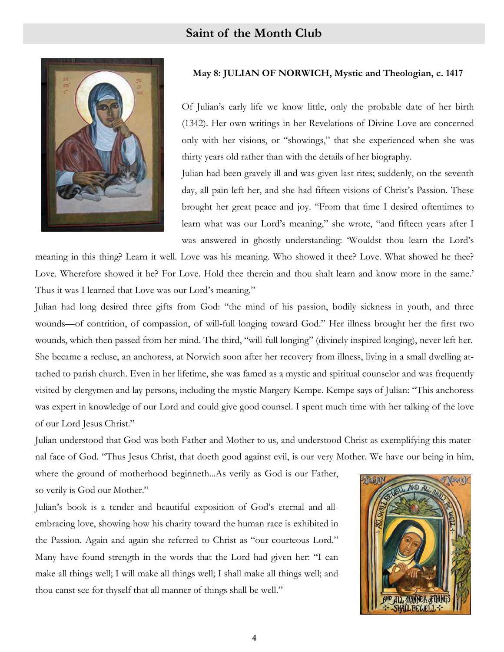

#### **May 8: JULIAN OF NORWICH, Mystic and Theologian, c. 1417**

Of Julian's early life we know little, only the probable date of her birth (1342). Her own writings in her Revelations of Divine Love are concerned only with her visions, or "showings," that she experienced when she was thirty years old rather than with the details of her biography.

Julian had been gravely ill and was given last rites; suddenly, on the seventh day, all pain left her, and she had fifteen visions of Christ's Passion. These brought her great peace and joy. "From that time I desired oftentimes to learn what was our Lord's meaning," she wrote, "and fifteen years after I was answered in ghostly understanding: 'Wouldst thou learn the Lord's

meaning in this thing? Learn it well. Love was his meaning. Who showed it thee? Love. What showed he thee? Love. Wherefore showed it he? For Love. Hold thee therein and thou shalt learn and know more in the same.' Thus it was I learned that Love was our Lord's meaning."

Julian had long desired three gifts from God: "the mind of his passion, bodily sickness in youth, and three wounds—of contrition, of compassion, of will-full longing toward God." Her illness brought her the first two wounds, which then passed from her mind. The third, "will-full longing" (divinely inspired longing), never left her. She became a recluse, an anchoress, at Norwich soon after her recovery from illness, living in a small dwelling attached to parish church. Even in her lifetime, she was famed as a mystic and spiritual counselor and was frequently visited by clergymen and lay persons, including the mystic Margery Kempe. Kempe says of Julian: "This anchoress was expert in knowledge of our Lord and could give good counsel. I spent much time with her talking of the love of our Lord Jesus Christ."

Julian understood that God was both Father and Mother to us, and understood Christ as exemplifying this maternal face of God. "Thus Jesus Christ, that doeth good against evil, is our very Mother. We have our being in him,

where the ground of motherhood beginneth...As verily as God is our Father, so verily is God our Mother."

Julian's book is a tender and beautiful exposition of God's eternal and allembracing love, showing how his charity toward the human race is exhibited in the Passion. Again and again she referred to Christ as "our courteous Lord." Many have found strength in the words that the Lord had given her: "I can make all things well; I will make all things well; I shall make all things well; and thou canst see for thyself that all manner of things shall be well."

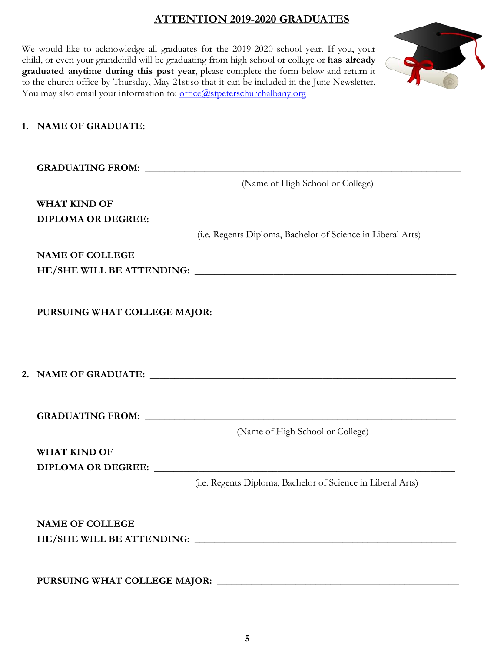## **ATTENTION 2019-2020 GRADUATES**

| You may also email your information to: office@stpeterschurchalbany.org | We would like to acknowledge all graduates for the 2019-2020 school year. If you, your<br>child, or even your grandchild will be graduating from high school or college or has already<br>graduated anytime during this past year, please complete the form below and return it<br>to the church office by Thursday, May 21st so that it can be included in the June Newsletter. |
|-------------------------------------------------------------------------|----------------------------------------------------------------------------------------------------------------------------------------------------------------------------------------------------------------------------------------------------------------------------------------------------------------------------------------------------------------------------------|
|                                                                         |                                                                                                                                                                                                                                                                                                                                                                                  |
|                                                                         | (Name of High School or College)                                                                                                                                                                                                                                                                                                                                                 |
|                                                                         |                                                                                                                                                                                                                                                                                                                                                                                  |
| <b>WHAT KIND OF</b>                                                     |                                                                                                                                                                                                                                                                                                                                                                                  |
| DIPLOMA OR DEGREE:                                                      |                                                                                                                                                                                                                                                                                                                                                                                  |
|                                                                         | (i.e. Regents Diploma, Bachelor of Science in Liberal Arts)                                                                                                                                                                                                                                                                                                                      |
| <b>NAME OF COLLEGE</b>                                                  |                                                                                                                                                                                                                                                                                                                                                                                  |
|                                                                         |                                                                                                                                                                                                                                                                                                                                                                                  |
|                                                                         |                                                                                                                                                                                                                                                                                                                                                                                  |
|                                                                         |                                                                                                                                                                                                                                                                                                                                                                                  |
|                                                                         |                                                                                                                                                                                                                                                                                                                                                                                  |
|                                                                         | (Name of High School or College)                                                                                                                                                                                                                                                                                                                                                 |
| <b>WHAT KIND OF</b>                                                     |                                                                                                                                                                                                                                                                                                                                                                                  |
|                                                                         |                                                                                                                                                                                                                                                                                                                                                                                  |
|                                                                         | (i.e. Regents Diploma, Bachelor of Science in Liberal Arts)                                                                                                                                                                                                                                                                                                                      |
| <b>NAME OF COLLEGE</b>                                                  |                                                                                                                                                                                                                                                                                                                                                                                  |
|                                                                         |                                                                                                                                                                                                                                                                                                                                                                                  |
|                                                                         |                                                                                                                                                                                                                                                                                                                                                                                  |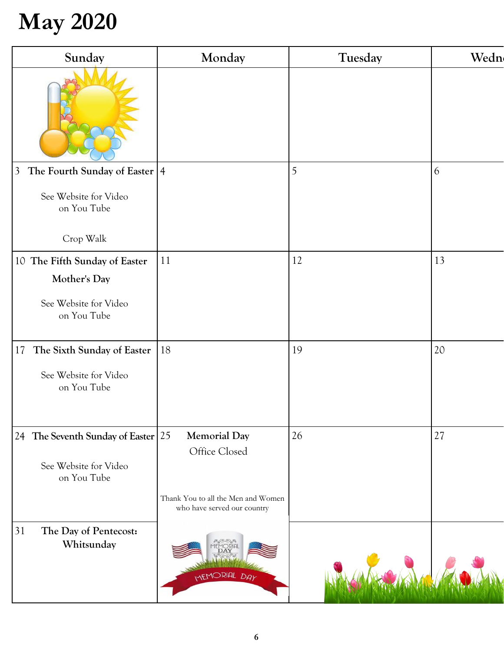# **May 2020**

| Sunday                                              | Monday                                                            | Tuesday | Wedn |
|-----------------------------------------------------|-------------------------------------------------------------------|---------|------|
|                                                     |                                                                   |         |      |
| The Fourth Sunday of Easter $ 4 $<br>$\overline{3}$ |                                                                   | 5       | 6    |
| See Website for Video<br>on You Tube                |                                                                   |         |      |
| Crop Walk                                           |                                                                   |         |      |
| 10 The Fifth Sunday of Easter                       | 11                                                                | 12      | 13   |
| Mother's Day                                        |                                                                   |         |      |
| See Website for Video<br>on You Tube                |                                                                   |         |      |
| 17<br>The Sixth Sunday of Easter                    | 18                                                                | 19      | 20   |
| See Website for Video<br>on You Tube                |                                                                   |         |      |
| 24 The Seventh Sunday of Easter 25                  | <b>Memorial Day</b>                                               | 26      | 27   |
| See Website for Video<br>on You Tube                | Office Closed                                                     |         |      |
|                                                     | Thank You to all the Men and Women<br>who have served our country |         |      |
| 31<br>The Day of Pentecost:<br>Whitsunday           | MEMORIAL DAY                                                      |         |      |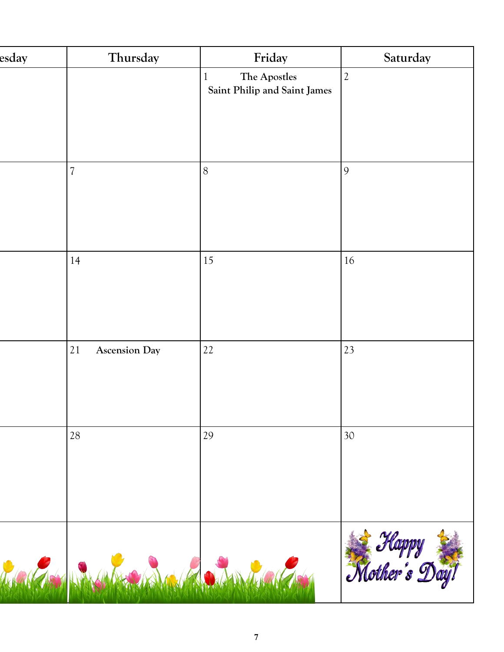| esday | Thursday                   | Friday                                       | Saturday               |
|-------|----------------------------|----------------------------------------------|------------------------|
|       |                            | The Apostles<br>Saint Philip and Saint James | $\mathfrak{2}$         |
|       | $\overline{\mathcal{U}}$   | 8                                            | 9                      |
|       | 14                         | 15                                           | 16                     |
|       | 21<br><b>Ascension Day</b> | 22                                           | 23                     |
|       | 28                         | 29                                           | 30                     |
|       | MARGA IN ANGELIAN MARGARIT |                                              | Happy<br>Mother's Day! |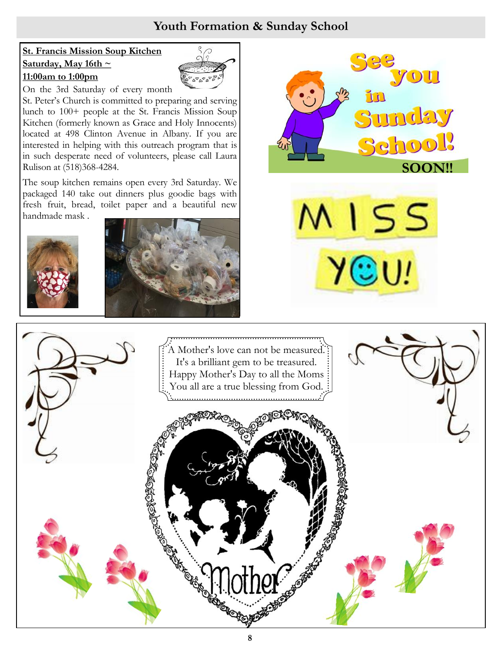# **Youth Formation & Sunday School**

## **St. Francis Mission Soup Kitchen Saturday, May 16th ~ 11:00am to 1:00pm**



On the 3rd Saturday of every month

St. Peter's Church is committed to preparing and serving lunch to 100+ people at the St. Francis Mission Soup Kitchen (formerly known as Grace and Holy Innocents) located at 498 Clinton Avenue in Albany. If you are interested in helping with this outreach program that is in such desperate need of volunteers, please call Laura Rulison at (518)368-4284.

The soup kitchen remains open every 3rd Saturday. We packaged 140 take out dinners plus goodie bags with fresh fruit, bread, toilet paper and a beautiful new handmade mask .









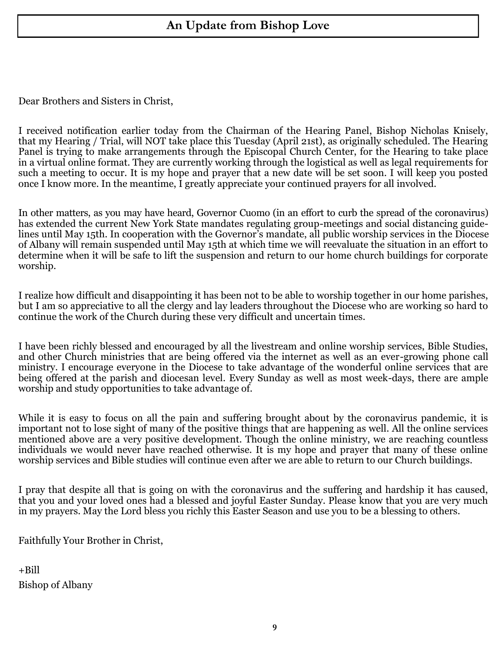# **An Update from Bishop Love**

Dear Brothers and Sisters in Christ,

I received notification earlier today from the Chairman of the Hearing Panel, Bishop Nicholas Knisely, that my Hearing / Trial, will NOT take place this Tuesday (April 21st), as originally scheduled. The Hearing Panel is trying to make arrangements through the Episcopal Church Center, for the Hearing to take place in a virtual online format. They are currently working through the logistical as well as legal requirements for such a meeting to occur. It is my hope and prayer that a new date will be set soon. I will keep you posted once I know more. In the meantime, I greatly appreciate your continued prayers for all involved.

In other matters, as you may have heard, Governor Cuomo (in an effort to curb the spread of the coronavirus) has extended the current New York State mandates regulating group-meetings and social distancing guidelines until May 15th. In cooperation with the Governor's mandate, all public worship services in the Diocese of Albany will remain suspended until May 15th at which time we will reevaluate the situation in an effort to determine when it will be safe to lift the suspension and return to our home church buildings for corporate worship.

I realize how difficult and disappointing it has been not to be able to worship together in our home parishes, but I am so appreciative to all the clergy and lay leaders throughout the Diocese who are working so hard to continue the work of the Church during these very difficult and uncertain times.

I have been richly blessed and encouraged by all the livestream and online worship services, Bible Studies, and other Church ministries that are being offered via the internet as well as an ever-growing phone call ministry. I encourage everyone in the Diocese to take advantage of the wonderful online services that are being offered at the parish and diocesan level. Every Sunday as well as most week-days, there are ample worship and study opportunities to take advantage of.

While it is easy to focus on all the pain and suffering brought about by the coronavirus pandemic, it is important not to lose sight of many of the positive things that are happening as well. All the online services mentioned above are a very positive development. Though the online ministry, we are reaching countless individuals we would never have reached otherwise. It is my hope and prayer that many of these online worship services and Bible studies will continue even after we are able to return to our Church buildings.

I pray that despite all that is going on with the coronavirus and the suffering and hardship it has caused, that you and your loved ones had a blessed and joyful Easter Sunday. Please know that you are very much in my prayers. May the Lord bless you richly this Easter Season and use you to be a blessing to others.

Faithfully Your Brother in Christ,

+Bill Bishop of Albany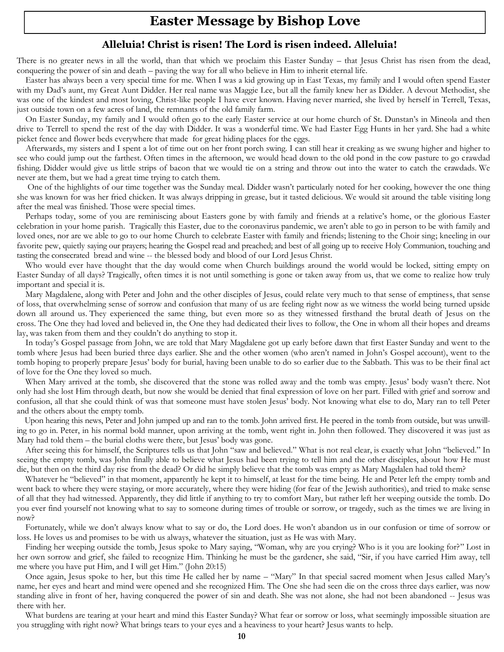# **Easter Message by Bishop Love**

#### **Alleluia! Christ is risen! The Lord is risen indeed. Alleluia!**

There is no greater news in all the world, than that which we proclaim this Easter Sunday – that Jesus Christ has risen from the dead, conquering the power of sin and death – paving the way for all who believe in Him to inherit eternal life.

 Easter has always been a very special time for me. When I was a kid growing up in East Texas, my family and I would often spend Easter with my Dad's aunt, my Great Aunt Didder. Her real name was Maggie Lee, but all the family knew her as Didder. A devout Methodist, she was one of the kindest and most loving, Christ-like people I have ever known. Having never married, she lived by herself in Terrell, Texas, just outside town on a few acres of land, the remnants of the old family farm.

 On Easter Sunday, my family and I would often go to the early Easter service at our home church of St. Dunstan's in Mineola and then drive to Terrell to spend the rest of the day with Didder. It was a wonderful time. We had Easter Egg Hunts in her yard. She had a white picket fence and flower beds everywhere that made for great hiding places for the eggs.

 Afterwards, my sisters and I spent a lot of time out on her front porch swing. I can still hear it creaking as we swung higher and higher to see who could jump out the farthest. Often times in the afternoon, we would head down to the old pond in the cow pasture to go crawdad fishing. Didder would give us little strips of bacon that we would tie on a string and throw out into the water to catch the crawdads. We never ate them, but we had a great time trying to catch them.

 One of the highlights of our time together was the Sunday meal. Didder wasn't particularly noted for her cooking, however the one thing she was known for was her fried chicken. It was always dripping in grease, but it tasted delicious. We would sit around the table visiting long after the meal was finished. Those were special times.

 Perhaps today, some of you are reminiscing about Easters gone by with family and friends at a relative's home, or the glorious Easter celebration in your home parish. Tragically this Easter, due to the coronavirus pandemic, we aren't able to go in person to be with family and loved ones, nor are we able to go to our home Church to celebrate Easter with family and friends; listening to the Choir sing; kneeling in our favorite pew, quietly saying our prayers; hearing the Gospel read and preached; and best of all going up to receive Holy Communion, touching and tasting the consecrated bread and wine -- the blessed body and blood of our Lord Jesus Christ.

 Who would ever have thought that the day would come when Church buildings around the world would be locked, sitting empty on Easter Sunday of all days? Tragically, often times it is not until something is gone or taken away from us, that we come to realize how truly important and special it is.

 Mary Magdalene, along with Peter and John and the other disciples of Jesus, could relate very much to that sense of emptiness, that sense of loss, that overwhelming sense of sorrow and confusion that many of us are feeling right now as we witness the world being turned upside down all around us. They experienced the same thing, but even more so as they witnessed firsthand the brutal death of Jesus on the cross. The One they had loved and believed in, the One they had dedicated their lives to follow, the One in whom all their hopes and dreams lay, was taken from them and they couldn't do anything to stop it.

 In today's Gospel passage from John, we are told that Mary Magdalene got up early before dawn that first Easter Sunday and went to the tomb where Jesus had been buried three days earlier. She and the other women (who aren't named in John's Gospel account), went to the tomb hoping to properly prepare Jesus' body for burial, having been unable to do so earlier due to the Sabbath. This was to be their final act of love for the One they loved so much.

 When Mary arrived at the tomb, she discovered that the stone was rolled away and the tomb was empty. Jesus' body wasn't there. Not only had she lost Him through death, but now she would be denied that final expression of love on her part. Filled with grief and sorrow and confusion, all that she could think of was that someone must have stolen Jesus' body. Not knowing what else to do, Mary ran to tell Peter and the others about the empty tomb.

 Upon hearing this news, Peter and John jumped up and ran to the tomb. John arrived first. He peered in the tomb from outside, but was unwilling to go in. Peter, in his normal bold manner, upon arriving at the tomb, went right in. John then followed. They discovered it was just as Mary had told them – the burial cloths were there, but Jesus' body was gone.

 After seeing this for himself, the Scriptures tells us that John "saw and believed." What is not real clear, is exactly what John "believed." In seeing the empty tomb, was John finally able to believe what Jesus had been trying to tell him and the other disciples, about how He must die, but then on the third day rise from the dead? Or did he simply believe that the tomb was empty as Mary Magdalen had told them?

 Whatever he "believed" in that moment, apparently he kept it to himself, at least for the time being. He and Peter left the empty tomb and went back to where they were staying, or more accurately, where they were hiding (for fear of the Jewish authorities), and tried to make sense of all that they had witnessed. Apparently, they did little if anything to try to comfort Mary, but rather left her weeping outside the tomb. Do you ever find yourself not knowing what to say to someone during times of trouble or sorrow, or tragedy, such as the times we are living in now?

 Fortunately, while we don't always know what to say or do, the Lord does. He won't abandon us in our confusion or time of sorrow or loss. He loves us and promises to be with us always, whatever the situation, just as He was with Mary.

 Finding her weeping outside the tomb, Jesus spoke to Mary saying, "Woman, why are you crying? Who is it you are looking for?" Lost in her own sorrow and grief, she failed to recognize Him. Thinking he must be the gardener, she said, "Sir, if you have carried Him away, tell me where you have put Him, and I will get Him." (John 20:15)

 Once again, Jesus spoke to her, but this time He called her by name – "Mary" In that special sacred moment when Jesus called Mary's name, her eyes and heart and mind were opened and she recognized Him. The One she had seen die on the cross three days earlier, was now standing alive in front of her, having conquered the power of sin and death. She was not alone, she had not been abandoned -- Jesus was there with her.

 What burdens are tearing at your heart and mind this Easter Sunday? What fear or sorrow or loss, what seemingly impossible situation are you struggling with right now? What brings tears to your eyes and a heaviness to your heart? Jesus wants to help.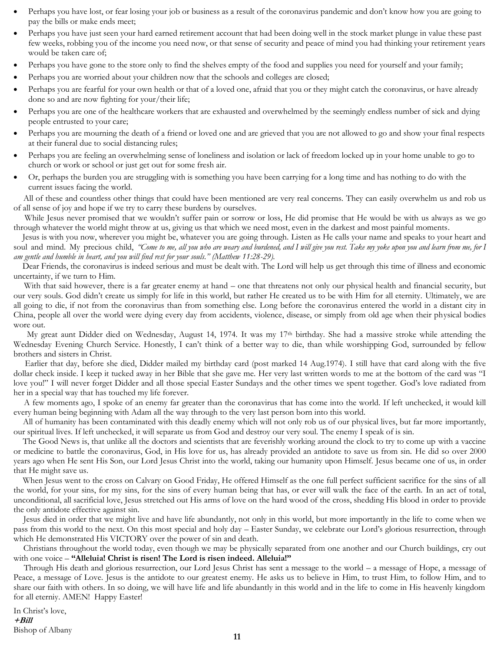- Perhaps you have lost, or fear losing your job or business as a result of the coronavirus pandemic and don't know how you are going to pay the bills or make ends meet;
- Perhaps you have just seen your hard earned retirement account that had been doing well in the stock market plunge in value these past few weeks, robbing you of the income you need now, or that sense of security and peace of mind you had thinking your retirement years would be taken care of;
- Perhaps you have gone to the store only to find the shelves empty of the food and supplies you need for yourself and your family;
- Perhaps you are worried about your children now that the schools and colleges are closed;
- Perhaps you are fearful for your own health or that of a loved one, afraid that you or they might catch the coronavirus, or have already done so and are now fighting for your/their life;
- Perhaps you are one of the healthcare workers that are exhausted and overwhelmed by the seemingly endless number of sick and dying people entrusted to your care;
- Perhaps you are mourning the death of a friend or loved one and are grieved that you are not allowed to go and show your final respects at their funeral due to social distancing rules;
- Perhaps you are feeling an overwhelming sense of loneliness and isolation or lack of freedom locked up in your home unable to go to church or work or school or just get out for some fresh air.
- Or, perhaps the burden you are struggling with is something you have been carrying for a long time and has nothing to do with the current issues facing the world.

 All of these and countless other things that could have been mentioned are very real concerns. They can easily overwhelm us and rob us of all sense of joy and hope if we try to carry these burdens by ourselves.

 While Jesus never promised that we wouldn't suffer pain or sorrow or loss, He did promise that He would be with us always as we go through whatever the world might throw at us, giving us that which we need most, even in the darkest and most painful moments.

 Jesus is with you now, wherever you might be, whatever you are going through. Listen as He calls your name and speaks to your heart and soul and mind. My precious child, *"Come to me, all you who are weary and burdened, and I will give you rest. Take my yoke upon you and learn from me, for I am gentle and humble in heart, and you will find rest for your souls." (Matthew 11:28-29).*

 Dear Friends, the coronavirus is indeed serious and must be dealt with. The Lord will help us get through this time of illness and economic uncertainty, if we turn to Him.

With that said however, there is a far greater enemy at hand – one that threatens not only our physical health and financial security, but our very souls. God didn't create us simply for life in this world, but rather He created us to be with Him for all eternity. Ultimately, we are all going to die, if not from the coronavirus than from something else. Long before the coronavirus entered the world in a distant city in China, people all over the world were dying every day from accidents, violence, disease, or simply from old age when their physical bodies wore out.

 My great aunt Didder died on Wednesday, August 14, 1974. It was my 17th birthday. She had a massive stroke while attending the Wednesday Evening Church Service. Honestly, I can't think of a better way to die, than while worshipping God, surrounded by fellow brothers and sisters in Christ.

 Earlier that day, before she died, Didder mailed my birthday card (post marked 14 Aug.1974). I still have that card along with the five dollar check inside. I keep it tucked away in her Bible that she gave me. Her very last written words to me at the bottom of the card was "I love you!" I will never forget Didder and all those special Easter Sundays and the other times we spent together. God's love radiated from her in a special way that has touched my life forever.

 A few moments ago, I spoke of an enemy far greater than the coronavirus that has come into the world. If left unchecked, it would kill every human being beginning with Adam all the way through to the very last person born into this world.

 All of humanity has been contaminated with this deadly enemy which will not only rob us of our physical lives, but far more importantly, our spiritual lives. If left unchecked, it will separate us from God and destroy our very soul. The enemy I speak of is sin.

 The Good News is, that unlike all the doctors and scientists that are feverishly working around the clock to try to come up with a vaccine or medicine to battle the coronavirus, God, in His love for us, has already provided an antidote to save us from sin. He did so over 2000 years ago when He sent His Son, our Lord Jesus Christ into the world, taking our humanity upon Himself. Jesus became one of us, in order that He might save us.

 When Jesus went to the cross on Calvary on Good Friday, He offered Himself as the one full perfect sufficient sacrifice for the sins of all the world, for your sins, for my sins, for the sins of every human being that has, or ever will walk the face of the earth. In an act of total, unconditional, all sacrificial love, Jesus stretched out His arms of love on the hard wood of the cross, shedding His blood in order to provide the only antidote effective against sin.

 Jesus died in order that we might live and have life abundantly, not only in this world, but more importantly in the life to come when we pass from this world to the next. On this most special and holy day – Easter Sunday, we celebrate our Lord's glorious resurrection, through which He demonstrated His VICTORY over the power of sin and death.

 Christians throughout the world today, even though we may be physically separated from one another and our Church buildings, cry out with one voice – **"Alleluia! Christ is risen! The Lord is risen indeed. Alleluia!"**

 Through His death and glorious resurrection, our Lord Jesus Christ has sent a message to the world – a message of Hope, a message of Peace, a message of Love. Jesus is the antidote to our greatest enemy. He asks us to believe in Him, to trust Him, to follow Him, and to share our faith with others. In so doing, we will have life and life abundantly in this world and in the life to come in His heavenly kingdom for all eterniy. AMEN! Happy Easter!